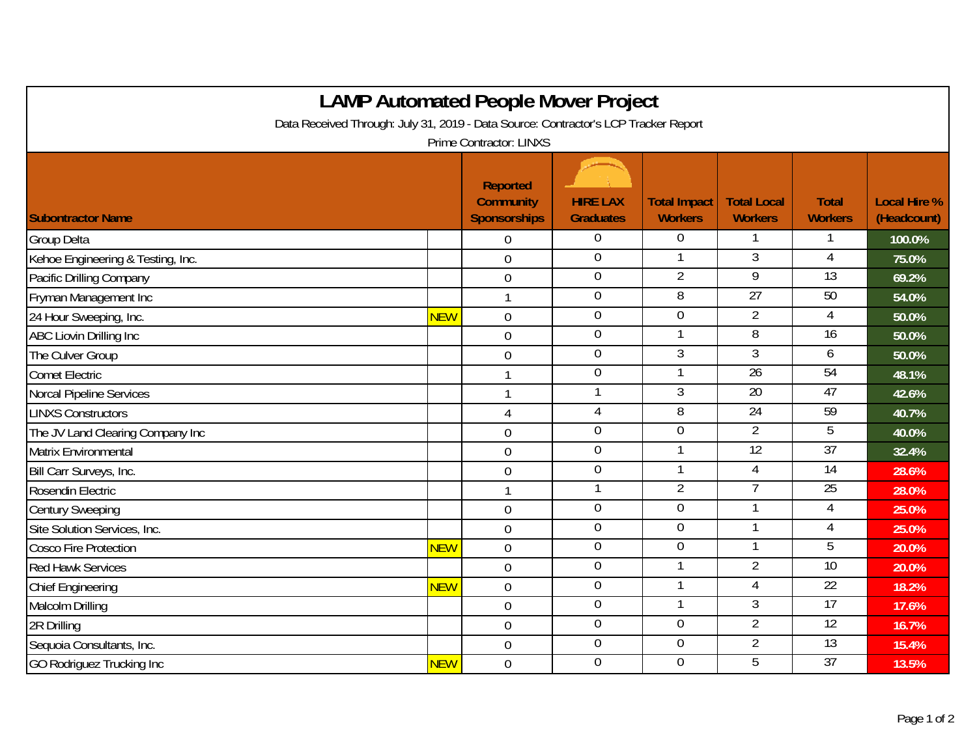| <b>LAMP Automated People Mover Project</b>                                          |            |                                                            |                                     |                                       |                                      |                                |                                    |  |  |  |  |  |
|-------------------------------------------------------------------------------------|------------|------------------------------------------------------------|-------------------------------------|---------------------------------------|--------------------------------------|--------------------------------|------------------------------------|--|--|--|--|--|
| Data Received Through: July 31, 2019 - Data Source: Contractor's LCP Tracker Report |            |                                                            |                                     |                                       |                                      |                                |                                    |  |  |  |  |  |
| <b>Prime Contractor: LINXS</b>                                                      |            |                                                            |                                     |                                       |                                      |                                |                                    |  |  |  |  |  |
| <b>Subontractor Name</b>                                                            |            | <b>Reported</b><br><b>Community</b><br><b>Sponsorships</b> | <b>HIRE LAX</b><br><b>Graduates</b> | <b>Total Impact</b><br><b>Workers</b> | <b>Total Local</b><br><b>Workers</b> | <b>Total</b><br><b>Workers</b> | <b>Local Hire %</b><br>(Headcount) |  |  |  |  |  |
| Group Delta                                                                         |            | $\overline{0}$                                             | $\overline{0}$                      | $\overline{0}$                        |                                      |                                | 100.0%                             |  |  |  |  |  |
| Kehoe Engineering & Testing, Inc.                                                   |            | $\overline{0}$                                             | $\mathbf 0$                         | $\mathbf{1}$                          | $\overline{3}$                       | $\overline{4}$                 | 75.0%                              |  |  |  |  |  |
| Pacific Drilling Company                                                            |            | $\mathbf 0$                                                | $\overline{0}$                      | $\overline{2}$                        | $\overline{9}$                       | $\overline{13}$                | 69.2%                              |  |  |  |  |  |
| Fryman Management Inc                                                               |            | $\mathbf{1}$                                               | $\mathbf 0$                         | 8                                     | 27                                   | 50                             | 54.0%                              |  |  |  |  |  |
| 24 Hour Sweeping, Inc.                                                              | <b>NEW</b> | $\mathbf 0$                                                | $\overline{0}$                      | $\overline{0}$                        | $\overline{2}$                       | 4                              | 50.0%                              |  |  |  |  |  |
| <b>ABC Liovin Drilling Inc</b>                                                      |            | $\overline{0}$                                             | $\boldsymbol{0}$                    | $\mathbf{1}$                          | 8                                    | 16                             | 50.0%                              |  |  |  |  |  |
| The Culver Group                                                                    |            | $\mathbf 0$                                                | $\boldsymbol{0}$                    | 3                                     | 3                                    | 6                              | 50.0%                              |  |  |  |  |  |
| <b>Comet Electric</b>                                                               |            | $\mathbf{1}$                                               | $\boldsymbol{0}$                    | 1                                     | 26                                   | 54                             | 48.1%                              |  |  |  |  |  |
| <b>Norcal Pipeline Services</b>                                                     |            | $\mathbf{1}$                                               | 1                                   | $\overline{3}$                        | 20                                   | 47                             | 42.6%                              |  |  |  |  |  |
| <b>LINXS Constructors</b>                                                           |            | $\overline{4}$                                             | $\overline{4}$                      | 8                                     | $\overline{24}$                      | $\overline{59}$                | 40.7%                              |  |  |  |  |  |
| The JV Land Clearing Company Inc                                                    |            | $\mathbf 0$                                                | $\overline{0}$                      | $\overline{0}$                        | $\overline{2}$                       | 5                              | 40.0%                              |  |  |  |  |  |
| Matrix Environmental                                                                |            | $\boldsymbol{0}$                                           | $\boldsymbol{0}$                    |                                       | 12                                   | 37                             | 32.4%                              |  |  |  |  |  |
| Bill Carr Surveys, Inc.                                                             |            | $\overline{0}$                                             | $\overline{0}$                      | 1                                     | $\overline{4}$                       | 14                             | 28.6%                              |  |  |  |  |  |
| Rosendin Electric                                                                   |            |                                                            | $\mathbf{1}$                        | $\overline{2}$                        | 7                                    | $\overline{25}$                | 28.0%                              |  |  |  |  |  |
| <b>Century Sweeping</b>                                                             |            | $\overline{0}$                                             | $\mathbf 0$                         | $\overline{0}$                        | $\mathbf{1}$                         | 4                              | 25.0%                              |  |  |  |  |  |
| Site Solution Services, Inc.                                                        |            | $\mathbf 0$                                                | $\boldsymbol{0}$                    | $\overline{0}$                        |                                      | 4                              | 25.0%                              |  |  |  |  |  |
| <b>Cosco Fire Protection</b>                                                        | <b>NEW</b> | $\overline{0}$                                             | $\boldsymbol{0}$                    | $\overline{0}$                        | -1                                   | 5                              | 20.0%                              |  |  |  |  |  |
| <b>Red Hawk Services</b>                                                            |            | $\overline{0}$                                             | $\boldsymbol{0}$                    |                                       | $\overline{2}$                       | $\overline{10}$                | 20.0%                              |  |  |  |  |  |
| <b>Chief Engineering</b>                                                            | <b>NEW</b> | $\overline{0}$                                             | $\mathbf 0$                         | $\mathbf{1}$                          | 4                                    | 22                             | 18.2%                              |  |  |  |  |  |
| Malcolm Drilling                                                                    |            | $\mathbf 0$                                                | $\overline{0}$                      |                                       | $\overline{3}$                       | 17                             | 17.6%                              |  |  |  |  |  |
| 2R Drilling                                                                         |            | $\boldsymbol{0}$                                           | $\boldsymbol{0}$                    | $\overline{0}$                        | $\overline{2}$                       | $\overline{12}$                | 16.7%                              |  |  |  |  |  |
| Sequoia Consultants, Inc.                                                           |            | $\mathbf 0$                                                | $\overline{0}$                      | $\overline{0}$                        | $\overline{2}$                       | 13                             | 15.4%                              |  |  |  |  |  |
| <b>GO Rodriquez Trucking Inc</b>                                                    | <b>NEW</b> | $\mathbf 0$                                                | $\mathbf 0$                         | $\overline{0}$                        | 5                                    | 37                             | 13.5%                              |  |  |  |  |  |